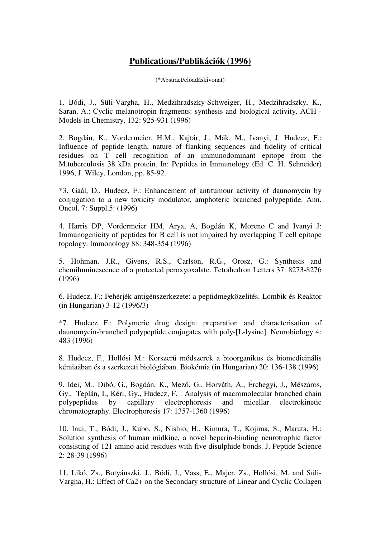## **Publications/Publikációk (1996)**

(\*Abstract/előadáskivonat)

1. Bódi, J., Süli-Vargha, H., Medzihradszky-Schweiger, H., Medzihradszky, K., Saran, A.: Cyclic melanotropin fragments: synthesis and biological activity. ACH - Models in Chemistry, 132: 925-931 (1996)

2. Bogdán, K., Vordermeier, H.M., Kajtár, J., Mák, M., Ivanyi, J. Hudecz, F.: Influence of peptide length, nature of flanking sequences and fidelity of critical residues on T cell recognition of an immunodominant epitope from the M.tuberculosis 38 kDa protein. In: Peptides in Immunology (Ed. C. H. Schneider) 1996, J. Wiley, London, pp. 85-92.

\*3. Gaál, D., Hudecz, F.: Enhancement of antitumour activity of daunomycin by conjugation to a new toxicity modulator, amphoteric branched polypeptide. Ann. Oncol. 7: Suppl.5: (1996)

4. Harris DP, Vordermeier HM, Arya, A, Bogdán K, Moreno C and Ivanyi J: Immunogenicity of peptides for B cell is not impaired by overlapping T cell epitope topology. Immonology 88: 348-354 (1996)

5. Hohman, J.R., Givens, R.S., Carlson, R.G., Orosz, G.: Synthesis and chemiluminescence of a protected peroxyoxalate. Tetrahedron Letters 37: 8273-8276 (1996)

6. Hudecz, F.: Fehérjék antigénszerkezete: a peptidmegközelités. Lombik és Reaktor (in Hungarian) 3-12 (1996/3)

\*7. Hudecz F.: Polymeric drug design: preparation and characterisation of daunomycin-branched polypeptide conjugates with poly-[L-lysine]. Neurobiology 4: 483 (1996)

8. Hudecz, F., Hollósi M.: Korszerű módszerek a bioorganikus és biomedicinális kémiaában és a szerkezeti biológiában. Biokémia (in Hungarian) 20: 136-138 (1996)

9. Idei, M., Dibó, G., Bogdán, K., Mező, G., Horváth, A., Érchegyi, J., Mészáros, Gy., Teplán, I., Kéri, Gy., Hudecz, F. : Analysis of macromolecular branched chain polypeptides by capillary electrophoresis and micellar electrokinetic chromatography. Electrophoresis 17: 1357-1360 (1996)

10. Inui, T., Bódi, J., Kubo, S., Nishio, H., Kimura, T., Kojima, S., Maruta, H.: Solution synthesis of human midkine, a novel heparin-binding neurotrophic factor consisting of 121 amino acid residues with five disulphide bonds. J. Peptide Science 2: 28-39 (1996)

11. Likó, Zs., Botyánszki, J., Bódi, J., Vass, E., Majer, Zs., Hollósi, M. and Süli-Vargha, H.: Effect of Ca2+ on the Secondary structure of Linear and Cyclic Collagen